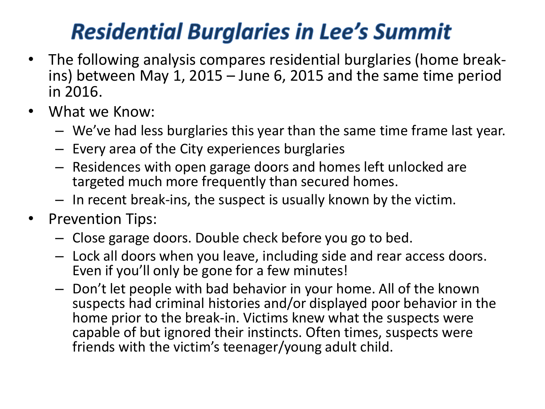## **Residential Burglaries in Lee's Summit**

- The following analysis compares residential burglaries (home breakins) between May 1, 2015 – June 6, 2015 and the same time period in 2016.
- What we Know:
	- We've had less burglaries this year than the same time frame last year.
	- Every area of the City experiences burglaries
	- Residences with open garage doors and homes left unlocked are targeted much more frequently than secured homes.
	- In recent break-ins, the suspect is usually known by the victim.
- Prevention Tips:
	- Close garage doors. Double check before you go to bed.
	- Lock all doors when you leave, including side and rear access doors. Even if you'll only be gone for a few minutes!
	- Don't let people with bad behavior in your home. All of the known suspects had criminal histories and/or displayed poor behavior in the home prior to the break-in. Victims knew what the suspects were capable of but ignored their instincts. Often times, suspects were friends with the victim's teenager/young adult child.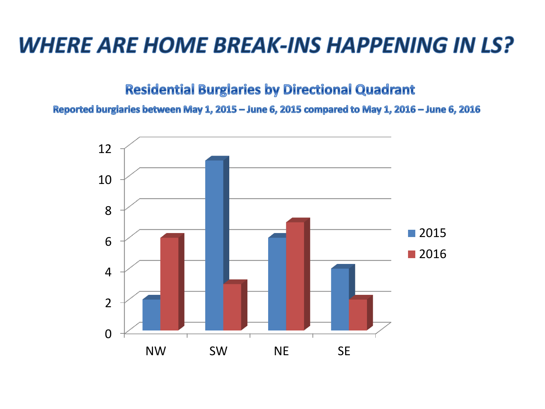## **WHERE ARE HOME BREAK-INS HAPPENING IN LS?**

**Residential Burglaries by Directional Quadrant** 

Reported burglaries between May 1, 2015 - June 6, 2015 compared to May 1, 2016 - June 6, 2016

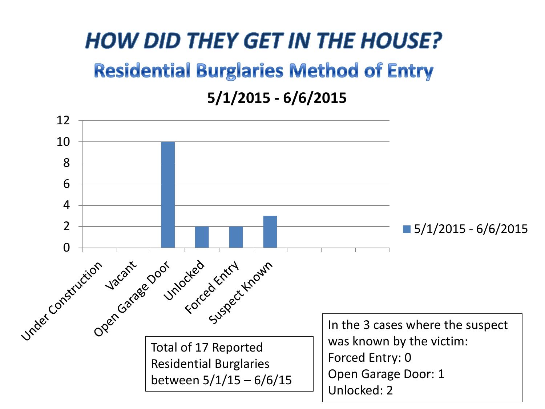## **HOW DID THEY GET IN THE HOUSE? Residential Burglaries Method of Entry 5/1/2015 - 6/6/2015**